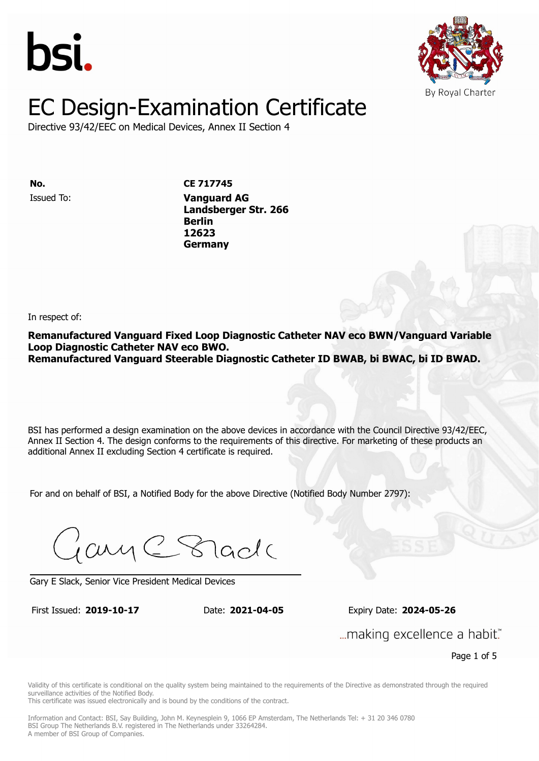



Directive 93/42/EEC on Medical Devices, Annex II Section 4

Issued To: **Vanguard AG No. CE 717745**

**Landsberger Str. 2666 Berlin** Issued To: **Vanguard AG 12623 Landsberger Str. 266 Berlin 12623 Germany**

In respect of:

**Remanufactured Vanguard Fixed Loop Diagnostic Catheter NAV eco BWN/Vanguard Variable Loop Diagnostic Catheter NAV eco BWO. Remanufactured Vanguard Steerable Diagnostic Catheter ID BWAB, bi BWAC, bi ID BWAD.**

BSI has performed a design examination on the above devices in accordance with the Council Directive 93/42/EEC, Annex II Section 4. The design conforms to the requirements of this directive. For marketing of these products an additional Annex II excluding Section 4 certificate is required.

For and on behalf of BSI, a Notified Body for the above Directive (Notified Body Number 2797):

Gary C Stade

Gary E Slack, Senior Vice President Medical Devices

First Issued: **2019-10-17** Date: **2021-04-05** Expiry Date: **2024-05-26** First Issued: **2019-10-17** Date: **2021-04-05** Expiry Date: **2024-05-26**

... making excellence a habit."

Page 1 of 5

Validity of this certificate is conditional on the quality system being maintained to the requirements of the Directive as demonstrated through the required surveillance activities of the Notified Body.

This certificate was issued electronically and is bound by the conditions of the contract.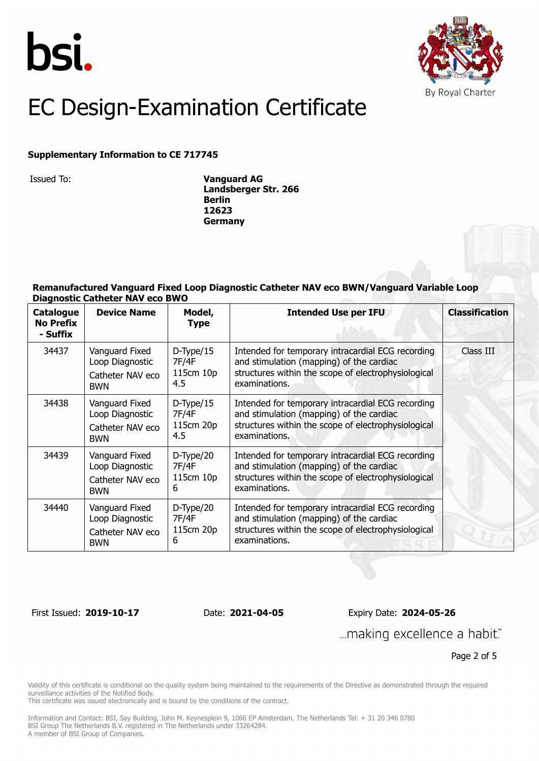



#### **Supplementary Information to CE 717745**

Issued To: **Vanguard AG Landsberger Str. 266 Berlin 12623 Germany**

#### **Remanufactured Vanguard Fixed Loop Diagnostic Catheter NAV eco BWN/Vanguard Variable Loop Diagnostic Catheter NAV eco BWO**

| <b>Catalogue</b><br><b>No Prefix</b><br>- Suffix | <b>Device Name</b>                                                  | Model,<br><b>Type</b>                      | <b>Intended Use per IFU</b>                                                                                                                                           | <b>Classification</b> |
|--------------------------------------------------|---------------------------------------------------------------------|--------------------------------------------|-----------------------------------------------------------------------------------------------------------------------------------------------------------------------|-----------------------|
| 34437                                            | Vanguard Fixed<br>Loop Diagnostic<br>Catheter NAV eco<br><b>BWN</b> | $D$ -Type/15<br>7F/4F<br>115cm 10p<br>4.5  | Intended for temporary intracardial ECG recording<br>and stimulation (mapping) of the cardiac<br>structures within the scope of electrophysiological<br>examinations. | Class III             |
| 34438                                            | Vanguard Fixed<br>Loop Diagnostic<br>Catheter NAV eco<br><b>BWN</b> | $D$ -Type/15<br>7F/4F<br>115cm 20p<br>4.5  | Intended for temporary intracardial ECG recording<br>and stimulation (mapping) of the cardiac<br>structures within the scope of electrophysiological<br>examinations. |                       |
| 34439                                            | Vanguard Fixed<br>Loop Diagnostic<br>Catheter NAV eco<br><b>BWN</b> | $D$ -Type $/20$<br>7F/4F<br>115cm 10p<br>6 | Intended for temporary intracardial ECG recording<br>and stimulation (mapping) of the cardiac<br>structures within the scope of electrophysiological<br>examinations. |                       |
| 34440                                            | Vanguard Fixed<br>Loop Diagnostic<br>Catheter NAV eco<br><b>BWN</b> | $D$ -Type $/20$<br>7F/4F<br>115cm 20p<br>6 | Intended for temporary intracardial ECG recording<br>and stimulation (mapping) of the cardiac<br>structures within the scope of electrophysiological<br>examinations. |                       |

First Issued: **2019-10-17** Date: **2021-04-05** Expiry Date: **2024-05-26**

... making excellence a habit."

Page 2 of 5

Validity of this certificate is conditional on the quality system being maintained to the requirements of the Directive as demonstrated through the required surveillance activities of the Notified Body.

This certificate was issued electronically and is bound by the conditions of the contract.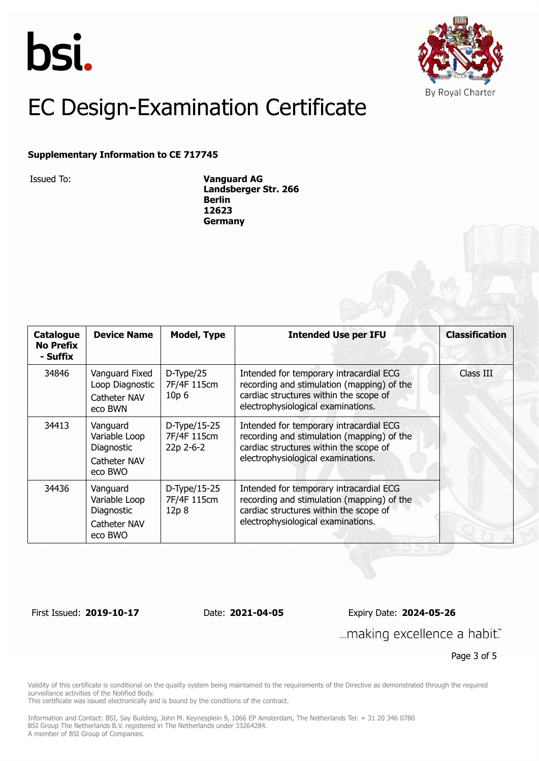



#### **Supplementary Information to CE 717745**

Issued To: **Vanguard AG Landsberger Str. 266 Berlin 12623 Germany**

| <b>Catalogue</b><br><b>No Prefix</b><br>- Suffix | <b>Device Name</b>                                                 | <b>Model, Type</b>                                 | <b>Intended Use per IFU</b>                                                                                                                                           | <b>Classification</b> |
|--------------------------------------------------|--------------------------------------------------------------------|----------------------------------------------------|-----------------------------------------------------------------------------------------------------------------------------------------------------------------------|-----------------------|
| 34846                                            | Vanguard Fixed<br>Loop Diagnostic<br>Catheter NAV<br>eco BWN       | $D$ -Type $/25$<br>7F/4F 115cm<br>10p <sub>6</sub> | Intended for temporary intracardial ECG<br>recording and stimulation (mapping) of the<br>cardiac structures within the scope of<br>electrophysiological examinations. | Class III             |
| 34413                                            | Vanguard<br>Variable Loop<br>Diagnostic<br>Catheter NAV<br>eco BWO | D-Type/15-25<br>7F/4F 115cm<br>22p 2-6-2           | Intended for temporary intracardial ECG<br>recording and stimulation (mapping) of the<br>cardiac structures within the scope of<br>electrophysiological examinations. |                       |
| 34436                                            | Vanguard<br>Variable Loop<br>Diagnostic<br>Catheter NAV<br>eco BWO | D-Type/15-25<br>7F/4F 115cm<br>12p8                | Intended for temporary intracardial ECG<br>recording and stimulation (mapping) of the<br>cardiac structures within the scope of<br>electrophysiological examinations. |                       |

First Issued: **2019-10-17** Date: **2021-04-05** Expiry Date: **2024-05-26**

... making excellence a habit."

Page 3 of 5

Validity of this certificate is conditional on the quality system being maintained to the requirements of the Directive as demonstrated through the required surveillance activities of the Notified Body.

This certificate was issued electronically and is bound by the conditions of the contract.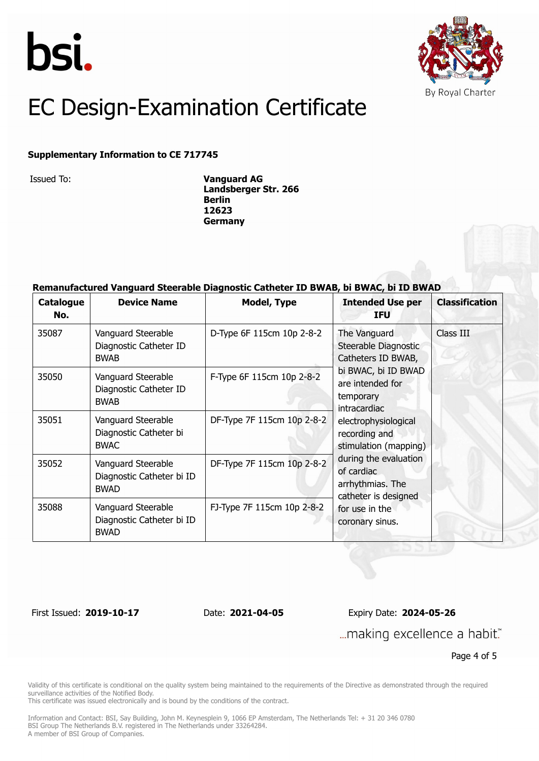



### **Supplementary Information to CE 717745**

Issued To: **Vanguard AG Landsberger Str. 266 Berlin 12623 Germany**

#### **Remanufactured Vanguard Steerable Diagnostic Catheter ID BWAB, bi BWAC, bi ID BWAD**

| <b>Catalogue</b><br>No. | <b>Device Name</b>                                             | <b>Model, Type</b>         | <b>Intended Use per</b><br><b>IFU</b>                                                                                                                                                                                                                                                          | <b>Classification</b> |
|-------------------------|----------------------------------------------------------------|----------------------------|------------------------------------------------------------------------------------------------------------------------------------------------------------------------------------------------------------------------------------------------------------------------------------------------|-----------------------|
| 35087                   | Vanguard Steerable<br>Diagnostic Catheter ID<br><b>BWAB</b>    | D-Type 6F 115cm 10p 2-8-2  | The Vanguard<br>Steerable Diagnostic<br>Catheters ID BWAB,<br>bi BWAC, bi ID BWAD<br>are intended for<br>temporary<br><i>intracardiac</i><br>electrophysiological<br>recording and<br>stimulation (mapping)<br>during the evaluation<br>of cardiac<br>arrhythmias. The<br>catheter is designed | Class III             |
| 35050                   | Vanguard Steerable<br>Diagnostic Catheter ID<br><b>BWAB</b>    | F-Type 6F 115cm 10p 2-8-2  |                                                                                                                                                                                                                                                                                                |                       |
| 35051                   | Vanguard Steerable<br>Diagnostic Catheter bi<br><b>BWAC</b>    | DF-Type 7F 115cm 10p 2-8-2 |                                                                                                                                                                                                                                                                                                |                       |
| 35052                   | Vanguard Steerable<br>Diagnostic Catheter bi ID<br><b>BWAD</b> | DF-Type 7F 115cm 10p 2-8-2 |                                                                                                                                                                                                                                                                                                |                       |
| 35088                   | Vanguard Steerable<br>Diagnostic Catheter bi ID<br><b>BWAD</b> | FJ-Type 7F 115cm 10p 2-8-2 | for use in the<br>coronary sinus.                                                                                                                                                                                                                                                              |                       |

First Issued: **2019-10-17** Date: **2021-04-05** Expiry Date: **2024-05-26** ... making excellence a habit."

Page 4 of 5

Validity of this certificate is conditional on the quality system being maintained to the requirements of the Directive as demonstrated through the required surveillance activities of the Notified Body.

This certificate was issued electronically and is bound by the conditions of the contract.